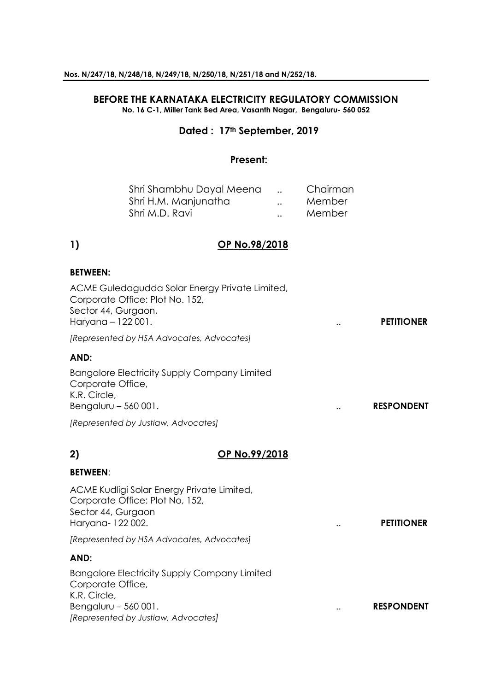## **BEFORE THE KARNATAKA ELECTRICITY REGULATORY COMMISSION No. 16 C-1, Miller Tank Bed Area, Vasanth Nagar, Bengaluru- 560 052**

# **Dated : 17th September, 2019**

## **Present:**

| Shri Shambhu Dayal Meena |                      | Chairman |
|--------------------------|----------------------|----------|
| Shri H.M. Manjunatha     | $\ddot{\phantom{a}}$ | Member   |
| Shri M.D. Ravi           | $\ddot{\phantom{a}}$ | Member   |

# **1) OP No.98/2018**

### **BETWEEN:**

| ACME Guledagudda Solar Energy Private Limited,<br>Corporate Office: Plot No. 152,<br>Sector 44, Gurgaon,<br>Haryana - 122 001. |               | <b>PETITIONER</b> |
|--------------------------------------------------------------------------------------------------------------------------------|---------------|-------------------|
| [Represented by HSA Advocates, Advocates]                                                                                      |               |                   |
| AND:                                                                                                                           |               |                   |
| <b>Bangalore Electricity Supply Company Limited</b><br>Corporate Office,<br>K.R. Circle,<br>Bengaluru $-560001$ .              |               | <b>RESPONDENT</b> |
| [Represented by Justlaw, Advocates]                                                                                            |               |                   |
| 2)<br>OP No.99/2018                                                                                                            |               |                   |
| <b>BETWEEN:</b>                                                                                                                |               |                   |
| ACME Kudligi Solar Energy Private Limited,<br>Corporate Office: Plot No, 152,<br>Sector 44, Gurgaon<br>Haryana-122002.         | $\cdot \cdot$ | <b>PETITIONER</b> |
| [Represented by HSA Advocates, Advocates]                                                                                      |               |                   |

## **AND:**

Bangalore Electricity Supply Company Limited Corporate Office, K.R. Circle, Bengaluru – 560 001. **RESPONDENT RESPONDENT** *[Represented by Justlaw, Advocates]*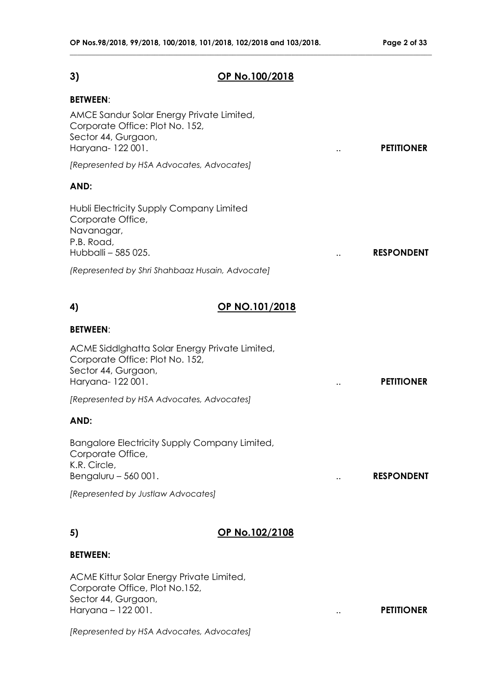# **3) OP No.100/2018**

**\_\_\_\_\_\_\_\_\_\_\_\_\_\_\_\_\_\_\_\_\_\_\_\_\_\_\_\_\_\_\_\_\_\_\_\_\_\_\_\_\_\_\_\_\_\_\_\_\_\_\_\_\_\_\_\_\_\_\_\_\_\_\_\_\_\_\_\_\_\_\_\_\_\_\_\_\_\_\_\_\_\_\_\_\_\_\_\_\_\_\_\_\_\_\_\_\_\_**

### **BETWEEN**:

| <b>BETWEEN:</b>                                                                                                               |                |                                           |
|-------------------------------------------------------------------------------------------------------------------------------|----------------|-------------------------------------------|
| AMCE Sandur Solar Energy Private Limited,<br>Corporate Office: Plot No. 152,<br>Sector 44, Gurgaon,<br>Haryana-122001.        |                | <b>PETITIONER</b>                         |
| [Represented by HSA Advocates, Advocates]                                                                                     |                |                                           |
| AND:                                                                                                                          |                |                                           |
| Hubli Electricity Supply Company Limited<br>Corporate Office,<br>Navanagar,<br>P.B. Road,<br>Hubballi - 585 025.              |                | <b>RESPONDENT</b>                         |
| (Represented by Shri Shahbaaz Husain, Advocate)                                                                               |                |                                           |
| 4)                                                                                                                            | OP NO.101/2018 |                                           |
| <b>BETWEEN:</b>                                                                                                               |                |                                           |
| ACME Siddlghatta Solar Energy Private Limited,<br>Corporate Office: Plot No. 152,<br>Sector 44, Gurgaon,<br>Haryana- 122 001. |                | <b>PETITIONER</b>                         |
| [Represented by HSA Advocates, Advocates]                                                                                     |                |                                           |
| AND:                                                                                                                          |                |                                           |
| Bangalore Electricity Supply Company Limited,<br>Corporate Office,                                                            |                |                                           |
| K.R. Circle,<br>Bengaluru $-560001$ .                                                                                         |                | <b>RESPONDENT</b><br>$\ddot{\phantom{0}}$ |

## **5) OP No.102/2108**

# **BETWEEN:**

ACME Kittur Solar Energy Private Limited, Corporate Office, Plot No.152, Sector 44, Gurgaon, Haryana – 122 001. .. **PETITIONER**

*[Represented by HSA Advocates, Advocates]*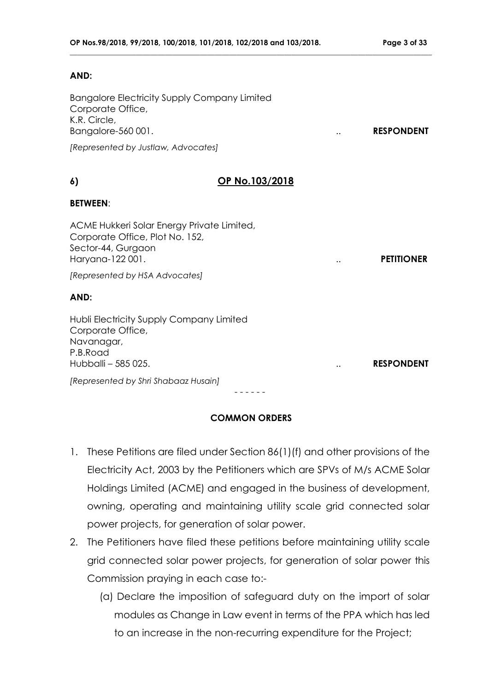### **AND:**

Bangalore Electricity Supply Company Limited Corporate Office, K.R. Circle, Bangalore-560 001. **RESPONDENT** 

*[Represented by Justlaw, Advocates]*

## **6) OP No.103/2018**

**\_\_\_\_\_\_\_\_\_\_\_\_\_\_\_\_\_\_\_\_\_\_\_\_\_\_\_\_\_\_\_\_\_\_\_\_\_\_\_\_\_\_\_\_\_\_\_\_\_\_\_\_\_\_\_\_\_\_\_\_\_\_\_\_\_\_\_\_\_\_\_\_\_\_\_\_\_\_\_\_\_\_\_\_\_\_\_\_\_\_\_\_\_\_\_\_\_\_**

### **BETWEEN**:

ACME Hukkeri Solar Energy Private Limited, Corporate Office, Plot No. 152, Sector-44, Gurgaon Haryana-122 001. .. **PETITIONER**

*[Represented by HSA Advocates]*

## **AND:**

Hubli Electricity Supply Company Limited Corporate Office, Navanagar, P.B.Road Hubballi – 585 025. .. **RESPONDENT**

*[Represented by Shri Shabaaz Husain]*

- - - - - -

# **COMMON ORDERS**

- 1. These Petitions are filed under Section 86(1)(f) and other provisions of the Electricity Act, 2003 by the Petitioners which are SPVs of M/s ACME Solar Holdings Limited (ACME) and engaged in the business of development, owning, operating and maintaining utility scale grid connected solar power projects, for generation of solar power.
- 2. The Petitioners have filed these petitions before maintaining utility scale grid connected solar power projects, for generation of solar power this Commission praying in each case to:-
	- (a) Declare the imposition of safeguard duty on the import of solar modules as Change in Law event in terms of the PPA which has led to an increase in the non-recurring expenditure for the Project;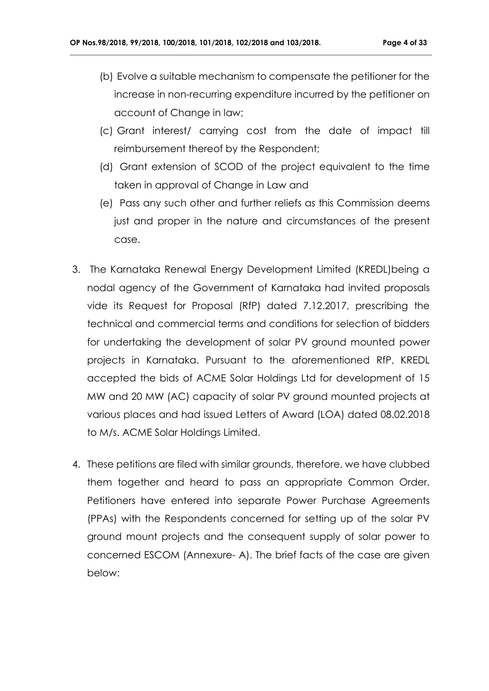(b) Evolve a suitable mechanism to compensate the petitioner for the increase in non-recurring expenditure incurred by the petitioner on account of Change in law;

- (c) Grant interest/ carrying cost from the date of impact till reimbursement thereof by the Respondent;
- (d) Grant extension of SCOD of the project equivalent to the time taken in approval of Change in Law and
- (e) Pass any such other and further reliefs as this Commission deems just and proper in the nature and circumstances of the present case.
- 3. The Karnataka Renewal Energy Development Limited (KREDL)being a nodal agency of the Government of Karnataka had invited proposals vide its Request for Proposal (RfP) dated 7.12.2017, prescribing the technical and commercial terms and conditions for selection of bidders for undertaking the development of solar PV ground mounted power projects in Karnataka. Pursuant to the aforementioned RfP, KREDL accepted the bids of ACME Solar Holdings Ltd for development of 15 MW and 20 MW (AC) capacity of solar PV ground mounted projects at various places and had issued Letters of Award (LOA) dated 08.02.2018 to M/s. ACME Solar Holdings Limited.
- 4. These petitions are filed with similar grounds, therefore, we have clubbed them together and heard to pass an appropriate Common Order. Petitioners have entered into separate Power Purchase Agreements (PPAs) with the Respondents concerned for setting up of the solar PV ground mount projects and the consequent supply of solar power to concerned ESCOM (Annexure- A). The brief facts of the case are given below: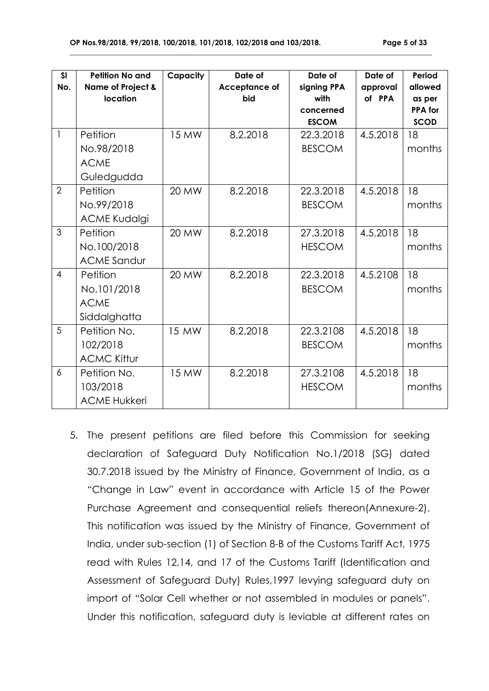| <b>SI</b><br>No. | <b>Petition No and</b><br><b>Name of Project &amp;</b><br>location | Capacity     | Date of<br><b>Acceptance of</b><br>bid | Date of<br>signing PPA<br>with<br>concerned<br><b>ESCOM</b> | Date of<br>approval<br>of PPA | Period<br>allowed<br>as per<br><b>PPA</b> for<br><b>SCOD</b> |
|------------------|--------------------------------------------------------------------|--------------|----------------------------------------|-------------------------------------------------------------|-------------------------------|--------------------------------------------------------------|
| $\mathbf{1}$     | Petition                                                           | <b>15 MW</b> | 8.2.2018                               | 22.3.2018                                                   | 4.5.2018                      | 18                                                           |
|                  | No.98/2018                                                         |              |                                        | <b>BESCOM</b>                                               |                               | months                                                       |
|                  | <b>ACME</b>                                                        |              |                                        |                                                             |                               |                                                              |
|                  | Guledgudda                                                         |              |                                        |                                                             |                               |                                                              |
| $\overline{2}$   | Petition                                                           | 20 MW        | 8.2.2018                               | 22.3.2018                                                   | 4.5.2018                      | 18                                                           |
|                  | No.99/2018                                                         |              |                                        | <b>BESCOM</b>                                               |                               | months                                                       |
|                  | <b>ACME Kudalgi</b>                                                |              |                                        |                                                             |                               |                                                              |
| 3                | Petition                                                           | 20 MW        | 8.2.2018                               | 27.3.2018                                                   | 4.5.2018                      | 18                                                           |
|                  | No.100/2018                                                        |              |                                        | <b>HESCOM</b>                                               |                               | months                                                       |
|                  | <b>ACME Sandur</b>                                                 |              |                                        |                                                             |                               |                                                              |
| $\overline{4}$   | Petition                                                           | 20 MW        | 8.2.2018                               | 22.3.2018                                                   | 4.5.2108                      | 18                                                           |
|                  | No.101/2018                                                        |              |                                        | <b>BESCOM</b>                                               |                               | months                                                       |
|                  | <b>ACME</b>                                                        |              |                                        |                                                             |                               |                                                              |
|                  | Siddalghatta                                                       |              |                                        |                                                             |                               |                                                              |
| 5                | Petition No.                                                       | 15 MW        | 8.2.2018                               | 22.3.2108                                                   | 4.5.2018                      | 18                                                           |
|                  | 102/2018                                                           |              |                                        | <b>BESCOM</b>                                               |                               | months                                                       |
|                  | <b>ACMC Kittur</b>                                                 |              |                                        |                                                             |                               |                                                              |
| 6                | Petition No.                                                       | 15 MW        | 8.2.2018                               | 27.3.2108                                                   | 4.5.2018                      | 18                                                           |
|                  | 103/2018                                                           |              |                                        | <b>HESCOM</b>                                               |                               | months                                                       |
|                  | <b>ACME Hukkeri</b>                                                |              |                                        |                                                             |                               |                                                              |

**\_\_\_\_\_\_\_\_\_\_\_\_\_\_\_\_\_\_\_\_\_\_\_\_\_\_\_\_\_\_\_\_\_\_\_\_\_\_\_\_\_\_\_\_\_\_\_\_\_\_\_\_\_\_\_\_\_\_\_\_\_\_\_\_\_\_\_\_\_\_\_\_\_\_\_\_\_\_\_\_\_\_\_\_\_\_\_\_\_\_\_\_\_\_\_\_\_\_**

5. The present petitions are filed before this Commission for seeking declaration of Safeguard Duty Notification No.1/2018 (SG) dated 30.7.2018 issued by the Ministry of Finance, Government of India, as a "Change in Law" event in accordance with Article 15 of the Power Purchase Agreement and consequential reliefs thereon(Annexure-2). This notification was issued by the Ministry of Finance, Government of India, under sub-section (1) of Section 8-B of the Customs Tariff Act, 1975 read with Rules 12,14, and 17 of the Customs Tariff (Identification and Assessment of Safeguard Duty) Rules,1997 levying safeguard duty on import of "Solar Cell whether or not assembled in modules or panels". Under this notification, safeguard duty is leviable at different rates on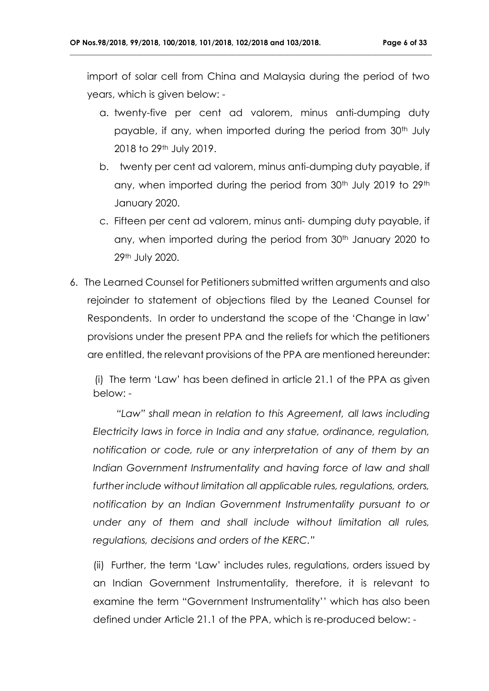import of solar cell from China and Malaysia during the period of two years, which is given below: -

**\_\_\_\_\_\_\_\_\_\_\_\_\_\_\_\_\_\_\_\_\_\_\_\_\_\_\_\_\_\_\_\_\_\_\_\_\_\_\_\_\_\_\_\_\_\_\_\_\_\_\_\_\_\_\_\_\_\_\_\_\_\_\_\_\_\_\_\_\_\_\_\_\_\_\_\_\_\_\_\_\_\_\_\_\_\_\_\_\_\_\_\_\_\_\_\_\_\_**

- a. twenty-five per cent ad valorem, minus anti-dumping duty payable, if any, when imported during the period from 30<sup>th</sup> July 2018 to 29th July 2019.
- b. twenty per cent ad valorem, minus anti-dumping duty payable, if any, when imported during the period from 30<sup>th</sup> July 2019 to 29<sup>th</sup> January 2020.
- c. Fifteen per cent ad valorem, minus anti- dumping duty payable, if any, when imported during the period from 30<sup>th</sup> January 2020 to 29th July 2020.
- 6. The Learned Counsel for Petitioners submitted written arguments and also rejoinder to statement of objections filed by the Leaned Counsel for Respondents. In order to understand the scope of the 'Change in law' provisions under the present PPA and the reliefs for which the petitioners are entitled, the relevant provisions of the PPA are mentioned hereunder:

 (i) The term 'Law' has been defined in article 21.1 of the PPA as given below: -

 *"Law" shall mean in relation to this Agreement, all laws including Electricity laws in force in India and any statue, ordinance, regulation, notification or code, rule or any interpretation of any of them by an Indian Government Instrumentality and having force of law and shall further include without limitation all applicable rules, regulations, orders, notification by an Indian Government Instrumentality pursuant to or under any of them and shall include without limitation all rules, regulations, decisions and orders of the KERC."*

(ii) Further, the term 'Law' includes rules, regulations, orders issued by an Indian Government Instrumentality, therefore, it is relevant to examine the term "Government Instrumentality'' which has also been defined under Article 21.1 of the PPA, which is re-produced below: -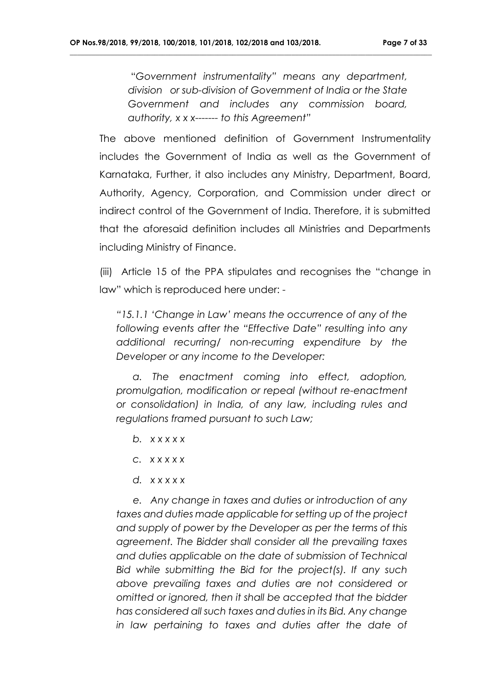"*Government instrumentality" means any department, division or sub-division of Government of India or the State Government and includes any commission board, authority, x x x------- to this Agreement"*

**\_\_\_\_\_\_\_\_\_\_\_\_\_\_\_\_\_\_\_\_\_\_\_\_\_\_\_\_\_\_\_\_\_\_\_\_\_\_\_\_\_\_\_\_\_\_\_\_\_\_\_\_\_\_\_\_\_\_\_\_\_\_\_\_\_\_\_\_\_\_\_\_\_\_\_\_\_\_\_\_\_\_\_\_\_\_\_\_\_\_\_\_\_\_\_\_\_\_**

The above mentioned definition of Government Instrumentality includes the Government of India as well as the Government of Karnataka, Further, it also includes any Ministry, Department, Board, Authority, Agency, Corporation, and Commission under direct or indirect control of the Government of India. Therefore, it is submitted that the aforesaid definition includes all Ministries and Departments including Ministry of Finance.

(iii) Article 15 of the PPA stipulates and recognises the "change in law" which is reproduced here under: -

*"15.1.1 'Change in Law' means the occurrence of any of the following events after the "Effective Date" resulting into any additional recurring/ non-recurring expenditure by the Developer or any income to the Developer:* 

 *a. The enactment coming into effect, adoption, promulgation, modification or repeal (without re-enactment or consolidation) in India, of any law, including rules and regulations framed pursuant to such Law;*

- *b. x x x x x*
- *c. x x x x x*
- *d. x x x x x*

 *e. Any change in taxes and duties or introduction of any taxes and duties made applicable for setting up of the project and supply of power by the Developer as per the terms of this agreement. The Bidder shall consider all the prevailing taxes and duties applicable on the date of submission of Technical Bid while submitting the Bid for the project(s). If any such above prevailing taxes and duties are not considered or omitted or ignored, then it shall be accepted that the bidder has considered all such taxes and duties in its Bid. Any change in law pertaining to taxes and duties after the date of*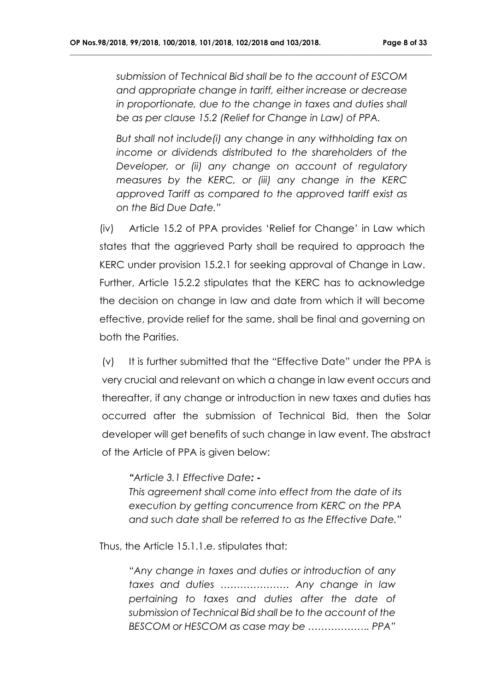*submission of Technical Bid shall be to the account of ESCOM and appropriate change in tariff, either increase or decrease in proportionate, due to the change in taxes and duties shall be as per clause 15.2 (Relief for Change in Law) of PPA.*

**\_\_\_\_\_\_\_\_\_\_\_\_\_\_\_\_\_\_\_\_\_\_\_\_\_\_\_\_\_\_\_\_\_\_\_\_\_\_\_\_\_\_\_\_\_\_\_\_\_\_\_\_\_\_\_\_\_\_\_\_\_\_\_\_\_\_\_\_\_\_\_\_\_\_\_\_\_\_\_\_\_\_\_\_\_\_\_\_\_\_\_\_\_\_\_\_\_\_**

*But shall not include(i) any change in any withholding tax on income or dividends distributed to the shareholders of the Developer, or (ii) any change on account of regulatory measures by the KERC, or (iii) any change in the KERC approved Tariff as compared to the approved tariff exist as on the Bid Due Date."*

(iv) Article 15.2 of PPA provides 'Relief for Change' in Law which states that the aggrieved Party shall be required to approach the KERC under provision 15.2.1 for seeking approval of Change in Law. Further, Article 15.2.2 stipulates that the KERC has to acknowledge the decision on change in law and date from which it will become effective, provide relief for the same, shall be final and governing on both the Parities.

(v) It is further submitted that the "Effective Date" under the PPA is very crucial and relevant on which a change in law event occurs and thereafter, if any change or introduction in new taxes and duties has occurred after the submission of Technical Bid, then the Solar developer will get benefits of such change in law event. The abstract of the Article of PPA is given below:

*"Article 3.1 Effective Date: -*

*This agreement shall come into effect from the date of its execution by getting concurrence from KERC on the PPA and such date shall be referred to as the Effective Date."*

Thus, the Article 15.1.1.e. stipulates that:

*"Any change in taxes and duties or introduction of any taxes and duties ………………… Any change in law pertaining to taxes and duties after the date of submission of Technical Bid shall be to the account of the BESCOM or HESCOM as case may be ………………. PPA"*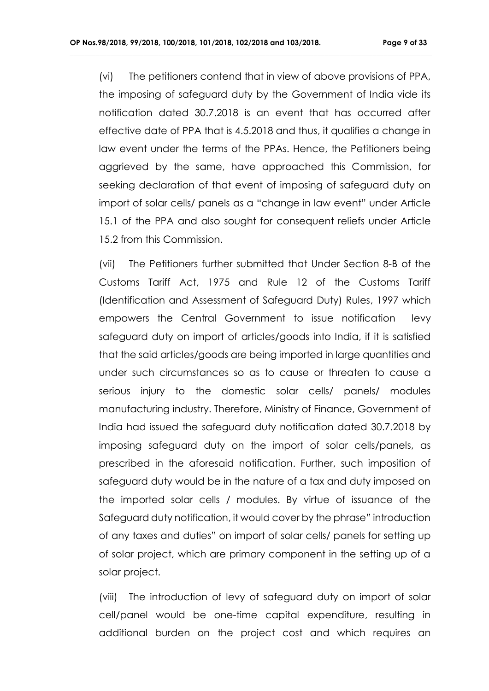(vi) The petitioners contend that in view of above provisions of PPA, the imposing of safeguard duty by the Government of India vide its notification dated 30.7.2018 is an event that has occurred after effective date of PPA that is 4.5.2018 and thus, it qualifies a change in law event under the terms of the PPAs. Hence, the Petitioners being aggrieved by the same, have approached this Commission, for seeking declaration of that event of imposing of safeguard duty on import of solar cells/ panels as a "change in law event" under Article 15.1 of the PPA and also sought for consequent reliefs under Article 15.2 from this Commission.

**\_\_\_\_\_\_\_\_\_\_\_\_\_\_\_\_\_\_\_\_\_\_\_\_\_\_\_\_\_\_\_\_\_\_\_\_\_\_\_\_\_\_\_\_\_\_\_\_\_\_\_\_\_\_\_\_\_\_\_\_\_\_\_\_\_\_\_\_\_\_\_\_\_\_\_\_\_\_\_\_\_\_\_\_\_\_\_\_\_\_\_\_\_\_\_\_\_\_**

(vii) The Petitioners further submitted that Under Section 8-B of the Customs Tariff Act, 1975 and Rule 12 of the Customs Tariff (Identification and Assessment of Safeguard Duty) Rules, 1997 which empowers the Central Government to issue notification levy safeguard duty on import of articles/goods into India, if it is satisfied that the said articles/goods are being imported in large quantities and under such circumstances so as to cause or threaten to cause a serious injury to the domestic solar cells/ panels/ modules manufacturing industry. Therefore, Ministry of Finance, Government of India had issued the safeguard duty notification dated 30.7.2018 by imposing safeguard duty on the import of solar cells/panels, as prescribed in the aforesaid notification. Further, such imposition of safeguard duty would be in the nature of a tax and duty imposed on the imported solar cells / modules. By virtue of issuance of the Safeguard duty notification, it would cover by the phrase" introduction of any taxes and duties" on import of solar cells/ panels for setting up of solar project, which are primary component in the setting up of a solar project.

(viii) The introduction of levy of safeguard duty on import of solar cell/panel would be one-time capital expenditure, resulting in additional burden on the project cost and which requires an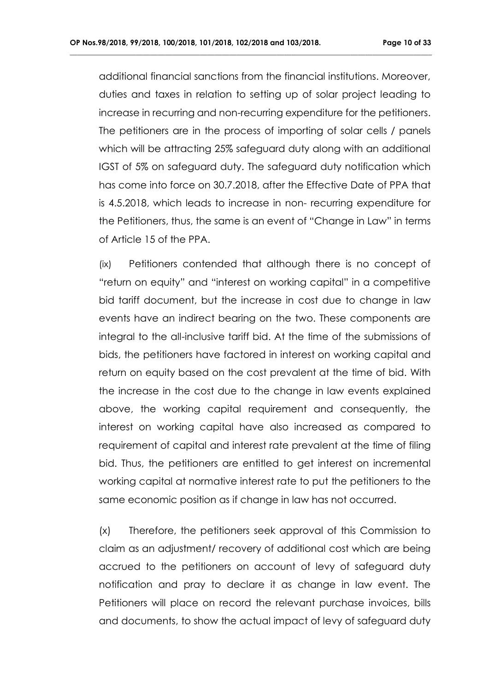additional financial sanctions from the financial institutions. Moreover, duties and taxes in relation to setting up of solar project leading to increase in recurring and non-recurring expenditure for the petitioners. The petitioners are in the process of importing of solar cells / panels which will be attracting 25% safeguard duty along with an additional IGST of 5% on safeguard duty. The safeguard duty notification which has come into force on 30.7.2018, after the Effective Date of PPA that is 4.5.2018, which leads to increase in non- recurring expenditure for the Petitioners, thus, the same is an event of "Change in Law" in terms of Article 15 of the PPA.

**\_\_\_\_\_\_\_\_\_\_\_\_\_\_\_\_\_\_\_\_\_\_\_\_\_\_\_\_\_\_\_\_\_\_\_\_\_\_\_\_\_\_\_\_\_\_\_\_\_\_\_\_\_\_\_\_\_\_\_\_\_\_\_\_\_\_\_\_\_\_\_\_\_\_\_\_\_\_\_\_\_\_\_\_\_\_\_\_\_\_\_\_\_\_\_\_\_\_**

(ix) Petitioners contended that although there is no concept of "return on equity" and "interest on working capital" in a competitive bid tariff document, but the increase in cost due to change in law events have an indirect bearing on the two. These components are integral to the all-inclusive tariff bid. At the time of the submissions of bids, the petitioners have factored in interest on working capital and return on equity based on the cost prevalent at the time of bid. With the increase in the cost due to the change in law events explained above, the working capital requirement and consequently, the interest on working capital have also increased as compared to requirement of capital and interest rate prevalent at the time of filing bid. Thus, the petitioners are entitled to get interest on incremental working capital at normative interest rate to put the petitioners to the same economic position as if change in law has not occurred.

(x) Therefore, the petitioners seek approval of this Commission to claim as an adjustment/ recovery of additional cost which are being accrued to the petitioners on account of levy of safeguard duty notification and pray to declare it as change in law event. The Petitioners will place on record the relevant purchase invoices, bills and documents, to show the actual impact of levy of safeguard duty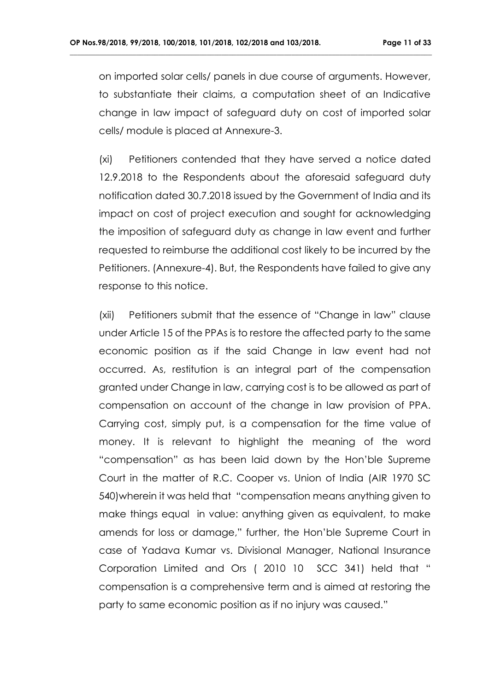on imported solar cells/ panels in due course of arguments. However, to substantiate their claims, a computation sheet of an Indicative change in law impact of safeguard duty on cost of imported solar cells/ module is placed at Annexure-3.

**\_\_\_\_\_\_\_\_\_\_\_\_\_\_\_\_\_\_\_\_\_\_\_\_\_\_\_\_\_\_\_\_\_\_\_\_\_\_\_\_\_\_\_\_\_\_\_\_\_\_\_\_\_\_\_\_\_\_\_\_\_\_\_\_\_\_\_\_\_\_\_\_\_\_\_\_\_\_\_\_\_\_\_\_\_\_\_\_\_\_\_\_\_\_\_\_\_\_**

(xi) Petitioners contended that they have served a notice dated 12.9.2018 to the Respondents about the aforesaid safeguard duty notification dated 30.7.2018 issued by the Government of India and its impact on cost of project execution and sought for acknowledging the imposition of safeguard duty as change in law event and further requested to reimburse the additional cost likely to be incurred by the Petitioners. (Annexure-4). But, the Respondents have failed to give any response to this notice.

(xii) Petitioners submit that the essence of "Change in law" clause under Article 15 of the PPAs is to restore the affected party to the same economic position as if the said Change in law event had not occurred. As, restitution is an integral part of the compensation granted under Change in law, carrying cost is to be allowed as part of compensation on account of the change in law provision of PPA. Carrying cost, simply put, is a compensation for the time value of money. It is relevant to highlight the meaning of the word "compensation" as has been laid down by the Hon'ble Supreme Court in the matter of R.C. Cooper vs. Union of India (AIR 1970 SC 540)wherein it was held that "compensation means anything given to make things equal in value: anything given as equivalent, to make amends for loss or damage," further, the Hon'ble Supreme Court in case of Yadava Kumar vs. Divisional Manager, National Insurance Corporation Limited and Ors ( 2010 10 SCC 341) held that " compensation is a comprehensive term and is aimed at restoring the party to same economic position as if no injury was caused."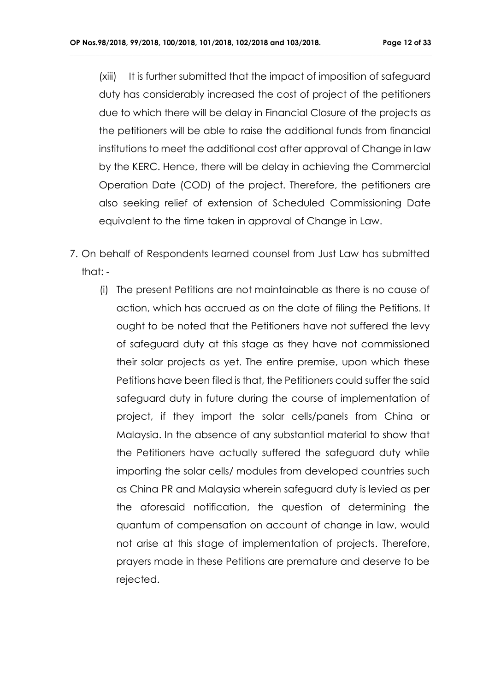(xiii) It is further submitted that the impact of imposition of safeguard duty has considerably increased the cost of project of the petitioners due to which there will be delay in Financial Closure of the projects as the petitioners will be able to raise the additional funds from financial institutions to meet the additional cost after approval of Change in law by the KERC. Hence, there will be delay in achieving the Commercial Operation Date (COD) of the project. Therefore, the petitioners are also seeking relief of extension of Scheduled Commissioning Date equivalent to the time taken in approval of Change in Law.

- 7. On behalf of Respondents learned counsel from Just Law has submitted that: -
	- (i) The present Petitions are not maintainable as there is no cause of action, which has accrued as on the date of filing the Petitions. It ought to be noted that the Petitioners have not suffered the levy of safeguard duty at this stage as they have not commissioned their solar projects as yet. The entire premise, upon which these Petitions have been filed is that, the Petitioners could suffer the said safeguard duty in future during the course of implementation of project, if they import the solar cells/panels from China or Malaysia. In the absence of any substantial material to show that the Petitioners have actually suffered the safeguard duty while importing the solar cells/ modules from developed countries such as China PR and Malaysia wherein safeguard duty is levied as per the aforesaid notification, the question of determining the quantum of compensation on account of change in law, would not arise at this stage of implementation of projects. Therefore, prayers made in these Petitions are premature and deserve to be rejected.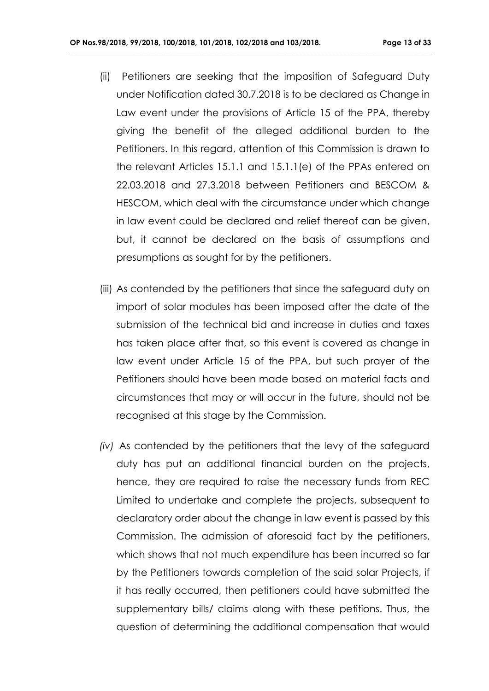(ii) Petitioners are seeking that the imposition of Safeguard Duty under Notification dated 30.7.2018 is to be declared as Change in Law event under the provisions of Article 15 of the PPA, thereby giving the benefit of the alleged additional burden to the Petitioners. In this regard, attention of this Commission is drawn to the relevant Articles 15.1.1 and 15.1.1(e) of the PPAs entered on 22.03.2018 and 27.3.2018 between Petitioners and BESCOM & HESCOM, which deal with the circumstance under which change in law event could be declared and relief thereof can be given, but, it cannot be declared on the basis of assumptions and presumptions as sought for by the petitioners.

- (iii) As contended by the petitioners that since the safeguard duty on import of solar modules has been imposed after the date of the submission of the technical bid and increase in duties and taxes has taken place after that, so this event is covered as change in law event under Article 15 of the PPA, but such prayer of the Petitioners should have been made based on material facts and circumstances that may or will occur in the future, should not be recognised at this stage by the Commission.
- *(iv)* As contended by the petitioners that the levy of the safeguard duty has put an additional financial burden on the projects, hence, they are required to raise the necessary funds from REC Limited to undertake and complete the projects, subsequent to declaratory order about the change in law event is passed by this Commission. The admission of aforesaid fact by the petitioners, which shows that not much expenditure has been incurred so far by the Petitioners towards completion of the said solar Projects, if it has really occurred, then petitioners could have submitted the supplementary bills/ claims along with these petitions. Thus, the question of determining the additional compensation that would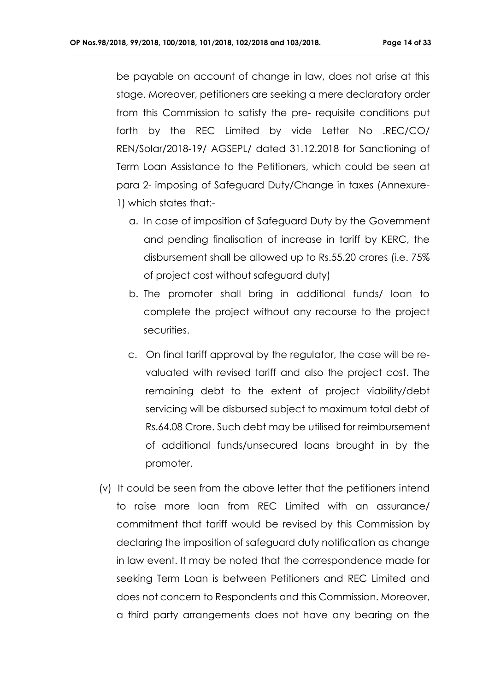be payable on account of change in law, does not arise at this stage. Moreover, petitioners are seeking a mere declaratory order from this Commission to satisfy the pre- requisite conditions put forth by the REC Limited by vide Letter No .REC/CO/ REN/Solar/2018-19/ AGSEPL/ dated 31.12.2018 for Sanctioning of Term Loan Assistance to the Petitioners, which could be seen at para 2- imposing of Safeguard Duty/Change in taxes (Annexure-1) which states that:-

- a. In case of imposition of Safeguard Duty by the Government and pending finalisation of increase in tariff by KERC, the disbursement shall be allowed up to Rs.55.20 crores (i.e. 75% of project cost without safeguard duty)
- b. The promoter shall bring in additional funds/ loan to complete the project without any recourse to the project securities.
- c. On final tariff approval by the regulator, the case will be revaluated with revised tariff and also the project cost. The remaining debt to the extent of project viability/debt servicing will be disbursed subject to maximum total debt of Rs.64.08 Crore. Such debt may be utilised for reimbursement of additional funds/unsecured loans brought in by the promoter.
- (v) It could be seen from the above letter that the petitioners intend to raise more loan from REC Limited with an assurance/ commitment that tariff would be revised by this Commission by declaring the imposition of safeguard duty notification as change in law event. It may be noted that the correspondence made for seeking Term Loan is between Petitioners and REC Limited and does not concern to Respondents and this Commission. Moreover, a third party arrangements does not have any bearing on the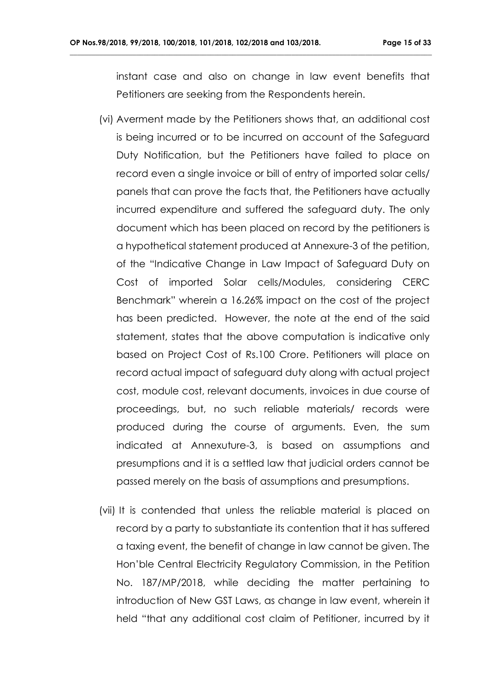instant case and also on change in law event benefits that Petitioners are seeking from the Respondents herein.

- (vi) Averment made by the Petitioners shows that, an additional cost is being incurred or to be incurred on account of the Safeguard Duty Notification, but the Petitioners have failed to place on record even a single invoice or bill of entry of imported solar cells/ panels that can prove the facts that, the Petitioners have actually incurred expenditure and suffered the safeguard duty. The only document which has been placed on record by the petitioners is a hypothetical statement produced at Annexure-3 of the petition, of the "Indicative Change in Law Impact of Safeguard Duty on Cost of imported Solar cells/Modules, considering CERC Benchmark" wherein a 16.26% impact on the cost of the project has been predicted. However, the note at the end of the said statement, states that the above computation is indicative only based on Project Cost of Rs.100 Crore. Petitioners will place on record actual impact of safeguard duty along with actual project cost, module cost, relevant documents, invoices in due course of proceedings, but, no such reliable materials/ records were produced during the course of arguments. Even, the sum indicated at Annexuture-3, is based on assumptions and presumptions and it is a settled law that judicial orders cannot be passed merely on the basis of assumptions and presumptions.
- (vii) It is contended that unless the reliable material is placed on record by a party to substantiate its contention that it has suffered a taxing event, the benefit of change in law cannot be given. The Hon'ble Central Electricity Regulatory Commission, in the Petition No. 187/MP/2018, while deciding the matter pertaining to introduction of New GST Laws, as change in law event, wherein it held "that any additional cost claim of Petitioner, incurred by it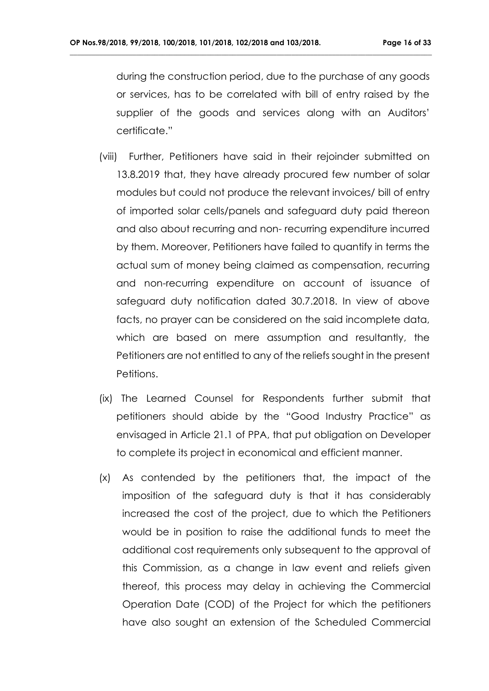during the construction period, due to the purchase of any goods or services, has to be correlated with bill of entry raised by the supplier of the goods and services along with an Auditors' certificate."

- (viii) Further, Petitioners have said in their rejoinder submitted on 13.8.2019 that, they have already procured few number of solar modules but could not produce the relevant invoices/ bill of entry of imported solar cells/panels and safeguard duty paid thereon and also about recurring and non- recurring expenditure incurred by them. Moreover, Petitioners have failed to quantify in terms the actual sum of money being claimed as compensation, recurring and non-recurring expenditure on account of issuance of safeguard duty notification dated 30.7.2018. In view of above facts, no prayer can be considered on the said incomplete data, which are based on mere assumption and resultantly, the Petitioners are not entitled to any of the reliefs sought in the present Petitions.
- (ix) The Learned Counsel for Respondents further submit that petitioners should abide by the "Good Industry Practice" as envisaged in Article 21.1 of PPA, that put obligation on Developer to complete its project in economical and efficient manner.
- (x) As contended by the petitioners that, the impact of the imposition of the safeguard duty is that it has considerably increased the cost of the project, due to which the Petitioners would be in position to raise the additional funds to meet the additional cost requirements only subsequent to the approval of this Commission, as a change in law event and reliefs given thereof, this process may delay in achieving the Commercial Operation Date (COD) of the Project for which the petitioners have also sought an extension of the Scheduled Commercial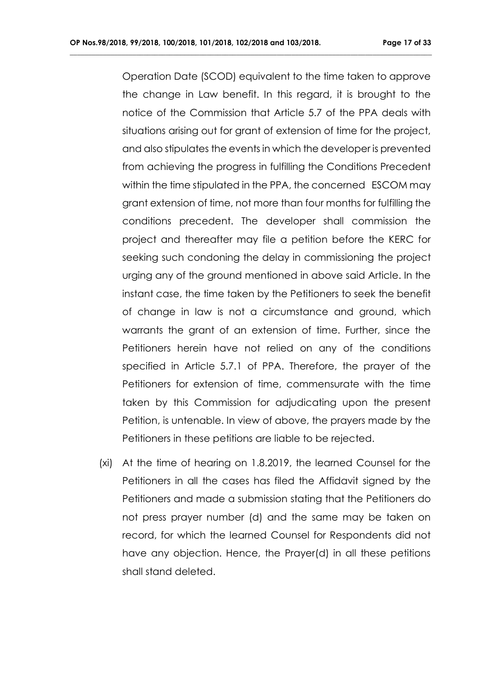**\_\_\_\_\_\_\_\_\_\_\_\_\_\_\_\_\_\_\_\_\_\_\_\_\_\_\_\_\_\_\_\_\_\_\_\_\_\_\_\_\_\_\_\_\_\_\_\_\_\_\_\_\_\_\_\_\_\_\_\_\_\_\_\_\_\_\_\_\_\_\_\_\_\_\_\_\_\_\_\_\_\_\_\_\_\_\_\_\_\_\_\_\_\_\_\_\_\_**

Operation Date (SCOD) equivalent to the time taken to approve the change in Law benefit. In this regard, it is brought to the notice of the Commission that Article 5.7 of the PPA deals with situations arising out for grant of extension of time for the project, and also stipulates the events in which the developer is prevented from achieving the progress in fulfilling the Conditions Precedent within the time stipulated in the PPA, the concerned ESCOM may grant extension of time, not more than four months for fulfilling the conditions precedent. The developer shall commission the project and thereafter may file a petition before the KERC for seeking such condoning the delay in commissioning the project urging any of the ground mentioned in above said Article. In the instant case, the time taken by the Petitioners to seek the benefit of change in law is not a circumstance and ground, which warrants the grant of an extension of time. Further, since the Petitioners herein have not relied on any of the conditions specified in Article 5.7.1 of PPA. Therefore, the prayer of the Petitioners for extension of time, commensurate with the time taken by this Commission for adjudicating upon the present Petition, is untenable. In view of above, the prayers made by the Petitioners in these petitions are liable to be rejected.

(xi) At the time of hearing on 1.8.2019, the learned Counsel for the Petitioners in all the cases has filed the Affidavit signed by the Petitioners and made a submission stating that the Petitioners do not press prayer number (d) and the same may be taken on record, for which the learned Counsel for Respondents did not have any objection. Hence, the Prayer(d) in all these petitions shall stand deleted.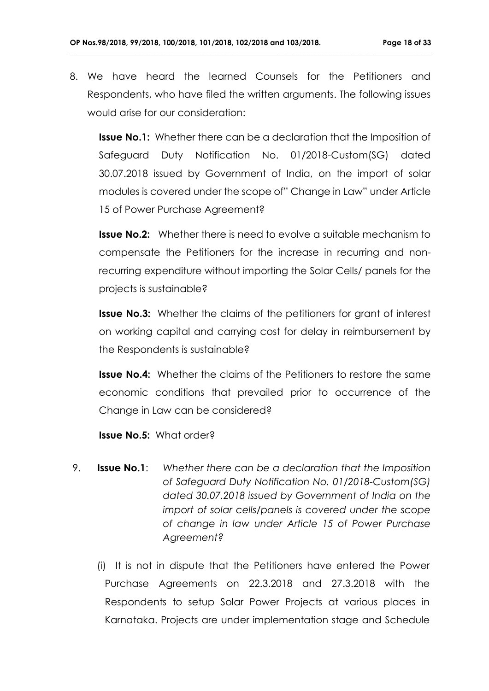8. We have heard the learned Counsels for the Petitioners and Respondents, who have filed the written arguments. The following issues would arise for our consideration:

**\_\_\_\_\_\_\_\_\_\_\_\_\_\_\_\_\_\_\_\_\_\_\_\_\_\_\_\_\_\_\_\_\_\_\_\_\_\_\_\_\_\_\_\_\_\_\_\_\_\_\_\_\_\_\_\_\_\_\_\_\_\_\_\_\_\_\_\_\_\_\_\_\_\_\_\_\_\_\_\_\_\_\_\_\_\_\_\_\_\_\_\_\_\_\_\_\_\_**

**Issue No.1:** Whether there can be a declaration that the Imposition of Safeguard Duty Notification No. 01/2018-Custom(SG) dated 30.07.2018 issued by Government of India, on the import of solar modules is covered under the scope of" Change in Law" under Article 15 of Power Purchase Agreement?

**Issue No.2:** Whether there is need to evolve a suitable mechanism to compensate the Petitioners for the increase in recurring and nonrecurring expenditure without importing the Solar Cells/ panels for the projects is sustainable?

**Issue No.3:** Whether the claims of the petitioners for grant of interest on working capital and carrying cost for delay in reimbursement by the Respondents is sustainable?

**Issue No.4:** Whether the claims of the Petitioners to restore the same economic conditions that prevailed prior to occurrence of the Change in Law can be considered?

**Issue No.5:** What order?

- 9. **Issue No.1**: *Whether there can be a declaration that the Imposition of Safeguard Duty Notification No. 01/2018-Custom(SG) dated 30.07.2018 issued by Government of India on the import of solar cells/panels is covered under the scope of change in law under Article 15 of Power Purchase Agreement?*
	- (i) It is not in dispute that the Petitioners have entered the Power Purchase Agreements on 22.3.2018 and 27.3.2018 with the Respondents to setup Solar Power Projects at various places in Karnataka. Projects are under implementation stage and Schedule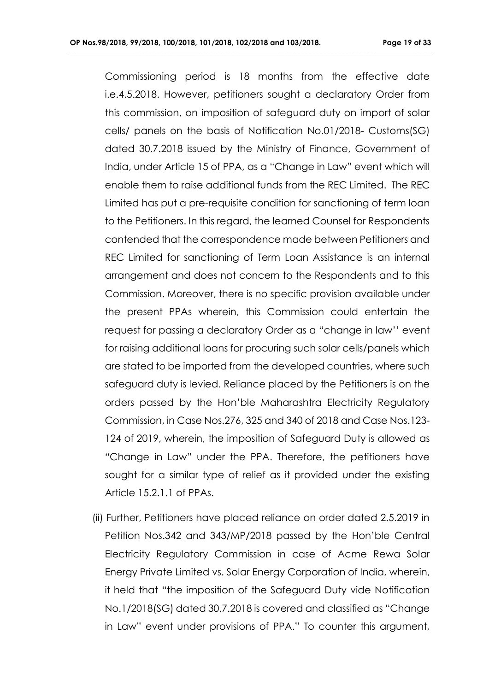**\_\_\_\_\_\_\_\_\_\_\_\_\_\_\_\_\_\_\_\_\_\_\_\_\_\_\_\_\_\_\_\_\_\_\_\_\_\_\_\_\_\_\_\_\_\_\_\_\_\_\_\_\_\_\_\_\_\_\_\_\_\_\_\_\_\_\_\_\_\_\_\_\_\_\_\_\_\_\_\_\_\_\_\_\_\_\_\_\_\_\_\_\_\_\_\_\_\_**

Commissioning period is 18 months from the effective date i.e.4.5.2018. However, petitioners sought a declaratory Order from this commission, on imposition of safeguard duty on import of solar cells/ panels on the basis of Notification No.01/2018- Customs(SG) dated 30.7.2018 issued by the Ministry of Finance, Government of India, under Article 15 of PPA, as a "Change in Law" event which will enable them to raise additional funds from the REC Limited. The REC Limited has put a pre-requisite condition for sanctioning of term loan to the Petitioners. In this regard, the learned Counsel for Respondents contended that the correspondence made between Petitioners and REC Limited for sanctioning of Term Loan Assistance is an internal arrangement and does not concern to the Respondents and to this Commission. Moreover, there is no specific provision available under the present PPAs wherein, this Commission could entertain the request for passing a declaratory Order as a "change in law'' event for raising additional loans for procuring such solar cells/panels which are stated to be imported from the developed countries, where such safeguard duty is levied. Reliance placed by the Petitioners is on the orders passed by the Hon'ble Maharashtra Electricity Regulatory Commission, in Case Nos.276, 325 and 340 of 2018 and Case Nos.123- 124 of 2019, wherein, the imposition of Safeguard Duty is allowed as "Change in Law" under the PPA. Therefore, the petitioners have sought for a similar type of relief as it provided under the existing Article 15.2.1.1 of PPAs.

 (ii) Further, Petitioners have placed reliance on order dated 2.5.2019 in Petition Nos.342 and 343/MP/2018 passed by the Hon'ble Central Electricity Regulatory Commission in case of Acme Rewa Solar Energy Private Limited vs. Solar Energy Corporation of India, wherein, it held that "the imposition of the Safeguard Duty vide Notification No.1/2018(SG) dated 30.7.2018 is covered and classified as "Change in Law" event under provisions of PPA." To counter this argument,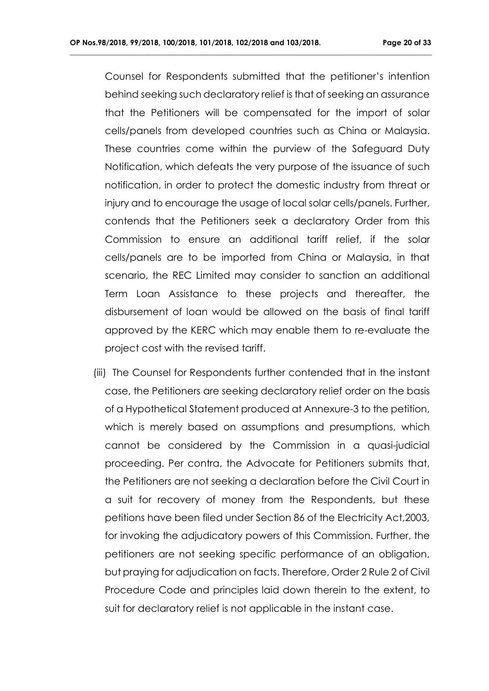Counsel for Respondents submitted that the petitioner's intention behind seeking such declaratory relief is that of seeking an assurance that the Petitioners will be compensated for the import of solar cells/panels from developed countries such as China or Malaysia. These countries come within the purview of the Safeguard Duty Notification, which defeats the very purpose of the issuance of such notification, in order to protect the domestic industry from threat or injury and to encourage the usage of local solar cells/panels. Further, contends that the Petitioners seek a declaratory Order from this Commission to ensure an additional tariff relief, if the solar cells/panels are to be imported from China or Malaysia, in that scenario, the REC Limited may consider to sanction an additional Term Loan Assistance to these projects and thereafter, the disbursement of loan would be allowed on the basis of final tariff approved by the KERC which may enable them to re-evaluate the project cost with the revised tariff.

**\_\_\_\_\_\_\_\_\_\_\_\_\_\_\_\_\_\_\_\_\_\_\_\_\_\_\_\_\_\_\_\_\_\_\_\_\_\_\_\_\_\_\_\_\_\_\_\_\_\_\_\_\_\_\_\_\_\_\_\_\_\_\_\_\_\_\_\_\_\_\_\_\_\_\_\_\_\_\_\_\_\_\_\_\_\_\_\_\_\_\_\_\_\_\_\_\_\_**

(iii) The Counsel for Respondents further contended that in the instant case, the Petitioners are seeking declaratory relief order on the basis of a Hypothetical Statement produced at Annexure-3 to the petition, which is merely based on assumptions and presumptions, which cannot be considered by the Commission in a quasi-judicial proceeding. Per contra, the Advocate for Petitioners submits that, the Petitioners are not seeking a declaration before the Civil Court in a suit for recovery of money from the Respondents, but these petitions have been filed under Section 86 of the Electricity Act,2003, for invoking the adjudicatory powers of this Commission. Further, the petitioners are not seeking specific performance of an obligation, but praying for adjudication on facts. Therefore, Order 2 Rule 2 of Civil Procedure Code and principles laid down therein to the extent, to suit for declaratory relief is not applicable in the instant case.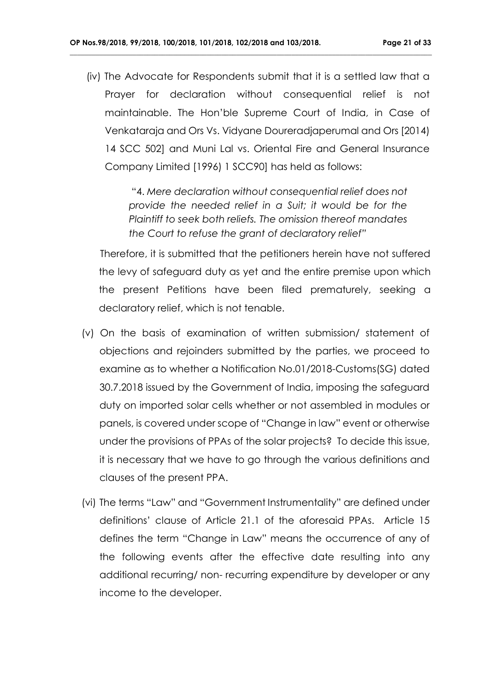(iv) The Advocate for Respondents submit that it is a settled law that a Prayer for declaration without consequential relief is not maintainable. The Hon'ble Supreme Court of India, in Case of Venkataraja and Ors Vs. Vidyane Doureradjaperumal and Ors [2014) 14 SCC 502] and Muni Lal vs. Oriental Fire and General Insurance Company Limited [1996) 1 SCC90] has held as follows:

**\_\_\_\_\_\_\_\_\_\_\_\_\_\_\_\_\_\_\_\_\_\_\_\_\_\_\_\_\_\_\_\_\_\_\_\_\_\_\_\_\_\_\_\_\_\_\_\_\_\_\_\_\_\_\_\_\_\_\_\_\_\_\_\_\_\_\_\_\_\_\_\_\_\_\_\_\_\_\_\_\_\_\_\_\_\_\_\_\_\_\_\_\_\_\_\_\_\_**

 "4. *Mere declaration without consequential relief does not provide the needed relief in a Suit; it would be for the Plaintiff to seek both reliefs. The omission thereof mandates the Court to refuse the grant of declaratory relief"*

Therefore, it is submitted that the petitioners herein have not suffered the levy of safeguard duty as yet and the entire premise upon which the present Petitions have been filed prematurely, seeking a declaratory relief, which is not tenable.

- (v) On the basis of examination of written submission/ statement of objections and rejoinders submitted by the parties, we proceed to examine as to whether a Notification No.01/2018-Customs(SG) dated 30.7.2018 issued by the Government of India, imposing the safeguard duty on imported solar cells whether or not assembled in modules or panels, is covered under scope of "Change in law" event or otherwise under the provisions of PPAs of the solar projects? To decide this issue, it is necessary that we have to go through the various definitions and clauses of the present PPA.
- (vi) The terms "Law" and "Government Instrumentality" are defined under definitions' clause of Article 21.1 of the aforesaid PPAs. Article 15 defines the term "Change in Law" means the occurrence of any of the following events after the effective date resulting into any additional recurring/ non- recurring expenditure by developer or any income to the developer.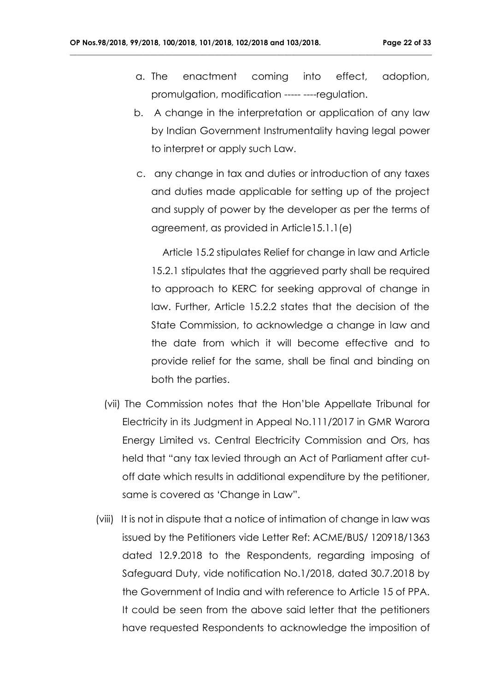a. The enactment coming into effect, adoption, promulgation, modification ----- ----regulation.

**\_\_\_\_\_\_\_\_\_\_\_\_\_\_\_\_\_\_\_\_\_\_\_\_\_\_\_\_\_\_\_\_\_\_\_\_\_\_\_\_\_\_\_\_\_\_\_\_\_\_\_\_\_\_\_\_\_\_\_\_\_\_\_\_\_\_\_\_\_\_\_\_\_\_\_\_\_\_\_\_\_\_\_\_\_\_\_\_\_\_\_\_\_\_\_\_\_\_**

- b. A change in the interpretation or application of any law by Indian Government Instrumentality having legal power to interpret or apply such Law.
- c. any change in tax and duties or introduction of any taxes and duties made applicable for setting up of the project and supply of power by the developer as per the terms of agreement, as provided in Article15.1.1(e)

 Article 15.2 stipulates Relief for change in law and Article 15.2.1 stipulates that the aggrieved party shall be required to approach to KERC for seeking approval of change in law. Further, Article 15.2.2 states that the decision of the State Commission, to acknowledge a change in law and the date from which it will become effective and to provide relief for the same, shall be final and binding on both the parties.

- (vii) The Commission notes that the Hon'ble Appellate Tribunal for Electricity in its Judgment in Appeal No.111/2017 in GMR Warora Energy Limited vs. Central Electricity Commission and Ors, has held that "any tax levied through an Act of Parliament after cutoff date which results in additional expenditure by the petitioner, same is covered as 'Change in Law".
- (viii) It is not in dispute that a notice of intimation of change in law was issued by the Petitioners vide Letter Ref: ACME/BUS/ 120918/1363 dated 12.9.2018 to the Respondents, regarding imposing of Safeguard Duty, vide notification No.1/2018, dated 30.7.2018 by the Government of India and with reference to Article 15 of PPA. It could be seen from the above said letter that the petitioners have requested Respondents to acknowledge the imposition of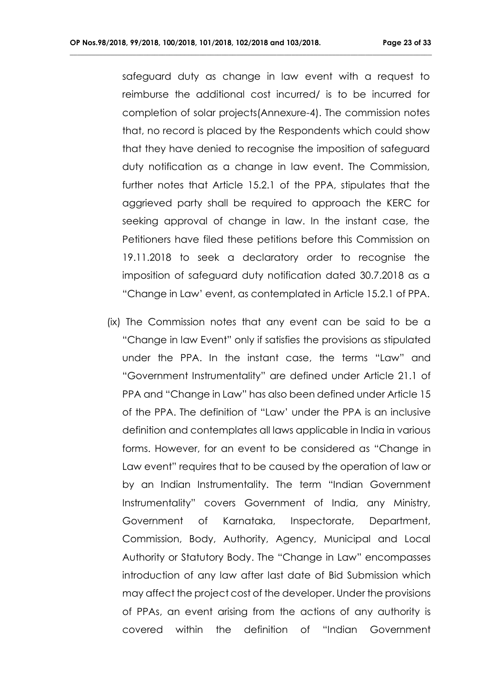safeguard duty as change in law event with a request to reimburse the additional cost incurred/ is to be incurred for completion of solar projects(Annexure-4). The commission notes that, no record is placed by the Respondents which could show that they have denied to recognise the imposition of safeguard duty notification as a change in law event. The Commission, further notes that Article 15.2.1 of the PPA, stipulates that the aggrieved party shall be required to approach the KERC for seeking approval of change in law. In the instant case, the Petitioners have filed these petitions before this Commission on 19.11.2018 to seek a declaratory order to recognise the imposition of safeguard duty notification dated 30.7.2018 as a "Change in Law' event, as contemplated in Article 15.2.1 of PPA.

**\_\_\_\_\_\_\_\_\_\_\_\_\_\_\_\_\_\_\_\_\_\_\_\_\_\_\_\_\_\_\_\_\_\_\_\_\_\_\_\_\_\_\_\_\_\_\_\_\_\_\_\_\_\_\_\_\_\_\_\_\_\_\_\_\_\_\_\_\_\_\_\_\_\_\_\_\_\_\_\_\_\_\_\_\_\_\_\_\_\_\_\_\_\_\_\_\_\_**

 (ix) The Commission notes that any event can be said to be a "Change in law Event" only if satisfies the provisions as stipulated under the PPA. In the instant case, the terms "Law" and "Government Instrumentality" are defined under Article 21.1 of PPA and "Change in Law" has also been defined under Article 15 of the PPA. The definition of "Law' under the PPA is an inclusive definition and contemplates all laws applicable in India in various forms. However, for an event to be considered as "Change in Law event" requires that to be caused by the operation of law or by an Indian Instrumentality. The term "Indian Government Instrumentality" covers Government of India, any Ministry, Government of Karnataka, Inspectorate, Department, Commission, Body, Authority, Agency, Municipal and Local Authority or Statutory Body. The "Change in Law" encompasses introduction of any law after last date of Bid Submission which may affect the project cost of the developer. Under the provisions of PPAs, an event arising from the actions of any authority is covered within the definition of "Indian Government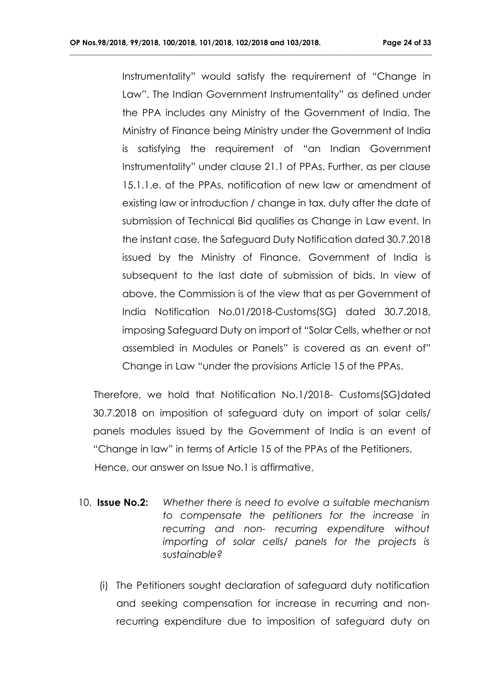**\_\_\_\_\_\_\_\_\_\_\_\_\_\_\_\_\_\_\_\_\_\_\_\_\_\_\_\_\_\_\_\_\_\_\_\_\_\_\_\_\_\_\_\_\_\_\_\_\_\_\_\_\_\_\_\_\_\_\_\_\_\_\_\_\_\_\_\_\_\_\_\_\_\_\_\_\_\_\_\_\_\_\_\_\_\_\_\_\_\_\_\_\_\_\_\_\_\_**

Instrumentality" would satisfy the requirement of "Change in Law". The Indian Government Instrumentality" as defined under the PPA includes any Ministry of the Government of India. The Ministry of Finance being Ministry under the Government of India is satisfying the requirement of "an Indian Government Instrumentality" under clause 21.1 of PPAs. Further, as per clause 15.1.1.e. of the PPAs, notification of new law or amendment of existing law or introduction / change in tax, duty after the date of submission of Technical Bid qualifies as Change in Law event. In the instant case, the Safeguard Duty Notification dated 30.7.2018 issued by the Ministry of Finance, Government of India is subsequent to the last date of submission of bids. In view of above, the Commission is of the view that as per Government of India Notification No.01/2018-Customs(SG) dated 30.7.2018, imposing Safeguard Duty on import of "Solar Cells, whether or not assembled in Modules or Panels" is covered as an event of" Change in Law "under the provisions Article 15 of the PPAs.

 Therefore, we hold that Notification No.1/2018- Customs(SG)dated 30.7.2018 on imposition of safeguard duty on import of solar cells/ panels modules issued by the Government of India is an event of "Change in law" in terms of Article 15 of the PPAs of the Petitioners. Hence, our answer on Issue No.1 is affirmative,

- 10. **Issue No.2:** *Whether there is need to evolve a suitable mechanism to compensate the petitioners for the increase in recurring and non- recurring expenditure without importing of solar cells/ panels for the projects is sustainable?*
	- (i) The Petitioners sought declaration of safeguard duty notification and seeking compensation for increase in recurring and nonrecurring expenditure due to imposition of safeguard duty on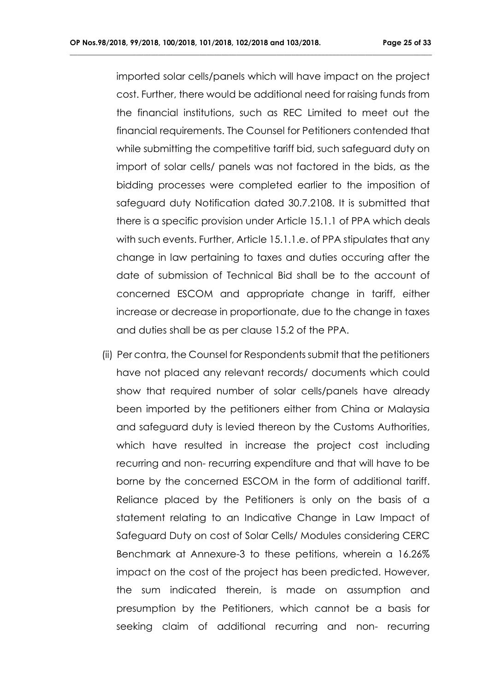imported solar cells/panels which will have impact on the project cost. Further, there would be additional need for raising funds from the financial institutions, such as REC Limited to meet out the financial requirements. The Counsel for Petitioners contended that while submitting the competitive tariff bid, such safeguard duty on import of solar cells/ panels was not factored in the bids, as the bidding processes were completed earlier to the imposition of safeguard duty Notification dated 30.7.2108. It is submitted that there is a specific provision under Article 15.1.1 of PPA which deals with such events. Further, Article 15.1.1.e. of PPA stipulates that any change in law pertaining to taxes and duties occuring after the date of submission of Technical Bid shall be to the account of concerned ESCOM and appropriate change in tariff, either increase or decrease in proportionate, due to the change in taxes and duties shall be as per clause 15.2 of the PPA.

**\_\_\_\_\_\_\_\_\_\_\_\_\_\_\_\_\_\_\_\_\_\_\_\_\_\_\_\_\_\_\_\_\_\_\_\_\_\_\_\_\_\_\_\_\_\_\_\_\_\_\_\_\_\_\_\_\_\_\_\_\_\_\_\_\_\_\_\_\_\_\_\_\_\_\_\_\_\_\_\_\_\_\_\_\_\_\_\_\_\_\_\_\_\_\_\_\_\_**

(ii) Per contra, the Counsel for Respondents submit that the petitioners have not placed any relevant records/ documents which could show that required number of solar cells/panels have already been imported by the petitioners either from China or Malaysia and safeguard duty is levied thereon by the Customs Authorities, which have resulted in increase the project cost including recurring and non- recurring expenditure and that will have to be borne by the concerned ESCOM in the form of additional tariff. Reliance placed by the Petitioners is only on the basis of a statement relating to an Indicative Change in Law Impact of Safeguard Duty on cost of Solar Cells/ Modules considering CERC Benchmark at Annexure-3 to these petitions, wherein a 16.26% impact on the cost of the project has been predicted. However, the sum indicated therein, is made on assumption and presumption by the Petitioners, which cannot be a basis for seeking claim of additional recurring and non- recurring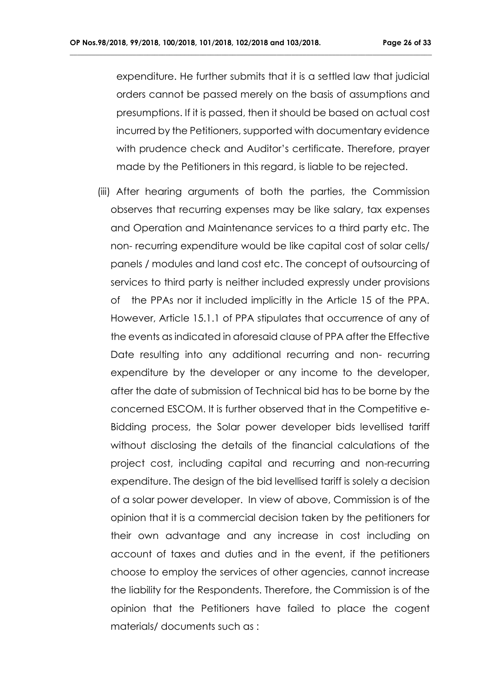expenditure. He further submits that it is a settled law that judicial orders cannot be passed merely on the basis of assumptions and presumptions. If it is passed, then it should be based on actual cost incurred by the Petitioners, supported with documentary evidence with prudence check and Auditor's certificate. Therefore, prayer made by the Petitioners in this regard, is liable to be rejected.

**\_\_\_\_\_\_\_\_\_\_\_\_\_\_\_\_\_\_\_\_\_\_\_\_\_\_\_\_\_\_\_\_\_\_\_\_\_\_\_\_\_\_\_\_\_\_\_\_\_\_\_\_\_\_\_\_\_\_\_\_\_\_\_\_\_\_\_\_\_\_\_\_\_\_\_\_\_\_\_\_\_\_\_\_\_\_\_\_\_\_\_\_\_\_\_\_\_\_**

 (iii) After hearing arguments of both the parties, the Commission observes that recurring expenses may be like salary, tax expenses and Operation and Maintenance services to a third party etc. The non- recurring expenditure would be like capital cost of solar cells/ panels / modules and land cost etc. The concept of outsourcing of services to third party is neither included expressly under provisions of the PPAs nor it included implicitly in the Article 15 of the PPA. However, Article 15.1.1 of PPA stipulates that occurrence of any of the events as indicated in aforesaid clause of PPA after the Effective Date resulting into any additional recurring and non- recurring expenditure by the developer or any income to the developer, after the date of submission of Technical bid has to be borne by the concerned ESCOM. It is further observed that in the Competitive e-Bidding process, the Solar power developer bids levellised tariff without disclosing the details of the financial calculations of the project cost, including capital and recurring and non-recurring expenditure. The design of the bid levellised tariff is solely a decision of a solar power developer. In view of above, Commission is of the opinion that it is a commercial decision taken by the petitioners for their own advantage and any increase in cost including on account of taxes and duties and in the event, if the petitioners choose to employ the services of other agencies, cannot increase the liability for the Respondents. Therefore, the Commission is of the opinion that the Petitioners have failed to place the cogent materials/ documents such as :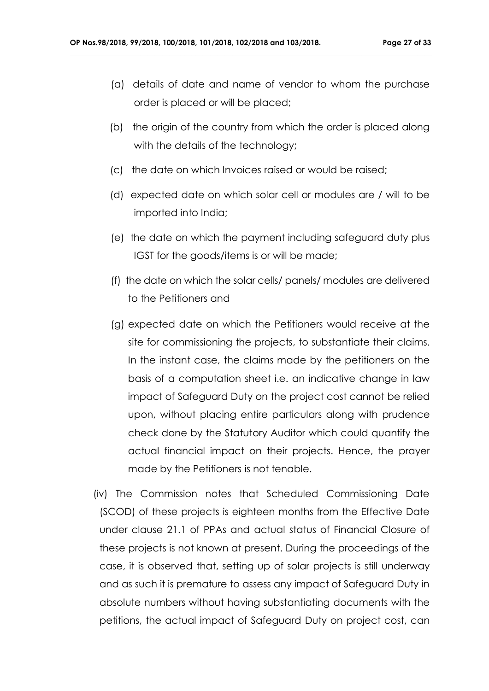- (a) details of date and name of vendor to whom the purchase order is placed or will be placed;
- (b) the origin of the country from which the order is placed along with the details of the technology;
- (c) the date on which Invoices raised or would be raised;

- (d) expected date on which solar cell or modules are / will to be imported into India;
- (e) the date on which the payment including safeguard duty plus IGST for the goods/items is or will be made;
- (f) the date on which the solar cells/ panels/ modules are delivered to the Petitioners and
- (g) expected date on which the Petitioners would receive at the site for commissioning the projects, to substantiate their claims. In the instant case, the claims made by the petitioners on the basis of a computation sheet i.e. an indicative change in law impact of Safeguard Duty on the project cost cannot be relied upon, without placing entire particulars along with prudence check done by the Statutory Auditor which could quantify the actual financial impact on their projects. Hence, the prayer made by the Petitioners is not tenable.
- (iv) The Commission notes that Scheduled Commissioning Date (SCOD) of these projects is eighteen months from the Effective Date under clause 21.1 of PPAs and actual status of Financial Closure of these projects is not known at present. During the proceedings of the case, it is observed that, setting up of solar projects is still underway and as such it is premature to assess any impact of Safeguard Duty in absolute numbers without having substantiating documents with the petitions, the actual impact of Safeguard Duty on project cost, can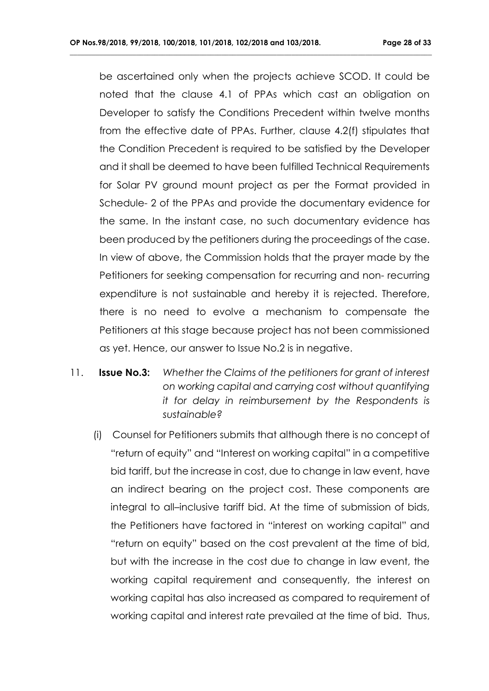be ascertained only when the projects achieve SCOD. It could be noted that the clause 4.1 of PPAs which cast an obligation on Developer to satisfy the Conditions Precedent within twelve months from the effective date of PPAs. Further, clause 4.2(f) stipulates that the Condition Precedent is required to be satisfied by the Developer and it shall be deemed to have been fulfilled Technical Requirements for Solar PV ground mount project as per the Format provided in Schedule- 2 of the PPAs and provide the documentary evidence for the same. In the instant case, no such documentary evidence has been produced by the petitioners during the proceedings of the case. In view of above, the Commission holds that the prayer made by the Petitioners for seeking compensation for recurring and non- recurring expenditure is not sustainable and hereby it is rejected. Therefore, there is no need to evolve a mechanism to compensate the Petitioners at this stage because project has not been commissioned as yet. Hence, our answer to Issue No.2 is in negative.

- 11. **Issue No.3:** *Whether the Claims of the petitioners for grant of interest on working capital and carrying cost without quantifying it for delay in reimbursement by the Respondents is sustainable?*
	- (i) Counsel for Petitioners submits that although there is no concept of "return of equity" and "Interest on working capital" in a competitive bid tariff, but the increase in cost, due to change in law event, have an indirect bearing on the project cost. These components are integral to all–inclusive tariff bid. At the time of submission of bids, the Petitioners have factored in "interest on working capital" and "return on equity" based on the cost prevalent at the time of bid, but with the increase in the cost due to change in law event, the working capital requirement and consequently, the interest on working capital has also increased as compared to requirement of working capital and interest rate prevailed at the time of bid. Thus,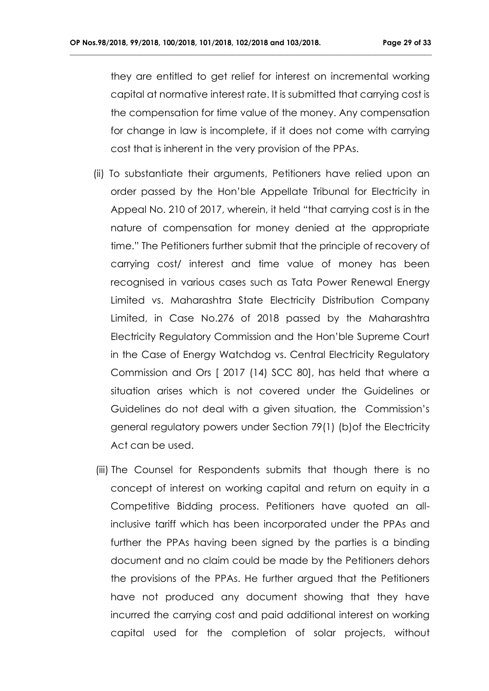they are entitled to get relief for interest on incremental working capital at normative interest rate. It is submitted that carrying cost is the compensation for time value of the money. Any compensation for change in law is incomplete, if it does not come with carrying cost that is inherent in the very provision of the PPAs.

- (ii) To substantiate their arguments, Petitioners have relied upon an order passed by the Hon'ble Appellate Tribunal for Electricity in Appeal No. 210 of 2017, wherein, it held "that carrying cost is in the nature of compensation for money denied at the appropriate time." The Petitioners further submit that the principle of recovery of carrying cost/ interest and time value of money has been recognised in various cases such as Tata Power Renewal Energy Limited vs. Maharashtra State Electricity Distribution Company Limited, in Case No.276 of 2018 passed by the Maharashtra Electricity Regulatory Commission and the Hon'ble Supreme Court in the Case of Energy Watchdog vs. Central Electricity Regulatory Commission and Ors [ 2017 (14) SCC 80], has held that where a situation arises which is not covered under the Guidelines or Guidelines do not deal with a given situation, the Commission's general regulatory powers under Section 79(1) (b)of the Electricity Act can be used.
- (iii) The Counsel for Respondents submits that though there is no concept of interest on working capital and return on equity in a Competitive Bidding process. Petitioners have quoted an allinclusive tariff which has been incorporated under the PPAs and further the PPAs having been signed by the parties is a binding document and no claim could be made by the Petitioners dehors the provisions of the PPAs. He further argued that the Petitioners have not produced any document showing that they have incurred the carrying cost and paid additional interest on working capital used for the completion of solar projects, without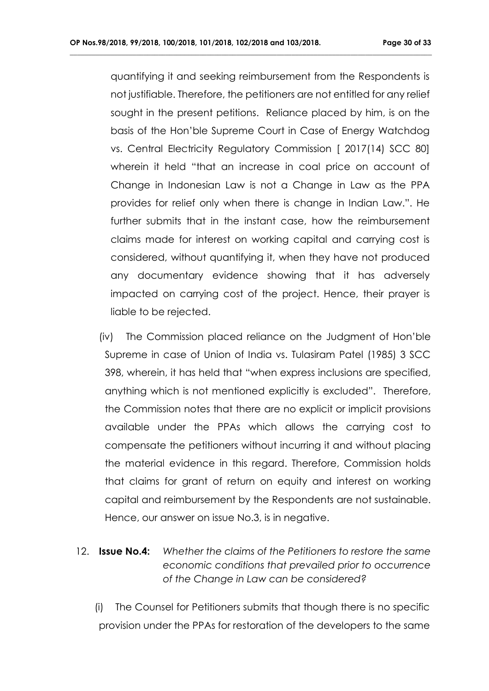quantifying it and seeking reimbursement from the Respondents is not justifiable. Therefore, the petitioners are not entitled for any relief sought in the present petitions. Reliance placed by him, is on the basis of the Hon'ble Supreme Court in Case of Energy Watchdog vs. Central Electricity Regulatory Commission [ 2017(14) SCC 80] wherein it held "that an increase in coal price on account of Change in Indonesian Law is not a Change in Law as the PPA provides for relief only when there is change in Indian Law.". He further submits that in the instant case, how the reimbursement claims made for interest on working capital and carrying cost is considered, without quantifying it, when they have not produced any documentary evidence showing that it has adversely impacted on carrying cost of the project. Hence, their prayer is liable to be rejected.

**\_\_\_\_\_\_\_\_\_\_\_\_\_\_\_\_\_\_\_\_\_\_\_\_\_\_\_\_\_\_\_\_\_\_\_\_\_\_\_\_\_\_\_\_\_\_\_\_\_\_\_\_\_\_\_\_\_\_\_\_\_\_\_\_\_\_\_\_\_\_\_\_\_\_\_\_\_\_\_\_\_\_\_\_\_\_\_\_\_\_\_\_\_\_\_\_\_\_**

- (iv) The Commission placed reliance on the Judgment of Hon'ble Supreme in case of Union of India vs. Tulasiram Patel (1985) 3 SCC 398, wherein, it has held that "when express inclusions are specified, anything which is not mentioned explicitly is excluded". Therefore, the Commission notes that there are no explicit or implicit provisions available under the PPAs which allows the carrying cost to compensate the petitioners without incurring it and without placing the material evidence in this regard. Therefore, Commission holds that claims for grant of return on equity and interest on working capital and reimbursement by the Respondents are not sustainable. Hence, our answer on issue No.3, is in negative.
- 12. **Issue No.4:** *Whether the claims of the Petitioners to restore the same economic conditions that prevailed prior to occurrence of the Change in Law can be considered?*

 (i) The Counsel for Petitioners submits that though there is no specific provision under the PPAs for restoration of the developers to the same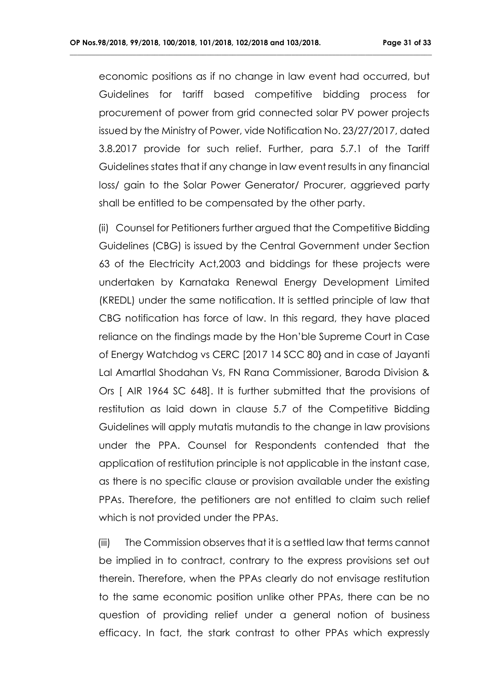economic positions as if no change in law event had occurred, but Guidelines for tariff based competitive bidding process for procurement of power from grid connected solar PV power projects issued by the Ministry of Power, vide Notification No. 23/27/2017, dated 3.8.2017 provide for such relief. Further, para 5.7.1 of the Tariff Guidelines states that if any change in law event results in any financial loss/ gain to the Solar Power Generator/ Procurer, aggrieved party shall be entitled to be compensated by the other party.

**\_\_\_\_\_\_\_\_\_\_\_\_\_\_\_\_\_\_\_\_\_\_\_\_\_\_\_\_\_\_\_\_\_\_\_\_\_\_\_\_\_\_\_\_\_\_\_\_\_\_\_\_\_\_\_\_\_\_\_\_\_\_\_\_\_\_\_\_\_\_\_\_\_\_\_\_\_\_\_\_\_\_\_\_\_\_\_\_\_\_\_\_\_\_\_\_\_\_**

 (ii) Counsel for Petitioners further argued that the Competitive Bidding Guidelines (CBG) is issued by the Central Government under Section 63 of the Electricity Act,2003 and biddings for these projects were undertaken by Karnataka Renewal Energy Development Limited (KREDL) under the same notification. It is settled principle of law that CBG notification has force of law. In this regard, they have placed reliance on the findings made by the Hon'ble Supreme Court in Case of Energy Watchdog vs CERC [2017 14 SCC 80} and in case of Jayanti Lal Amartlal Shodahan Vs, FN Rana Commissioner, Baroda Division & Ors [ AIR 1964 SC 648]. It is further submitted that the provisions of restitution as laid down in clause 5.7 of the Competitive Bidding Guidelines will apply mutatis mutandis to the change in law provisions under the PPA. Counsel for Respondents contended that the application of restitution principle is not applicable in the instant case, as there is no specific clause or provision available under the existing PPAs. Therefore, the petitioners are not entitled to claim such relief which is not provided under the PPAs.

 (iii) The Commission observes that it is a settled law that terms cannot be implied in to contract, contrary to the express provisions set out therein. Therefore, when the PPAs clearly do not envisage restitution to the same economic position unlike other PPAs, there can be no question of providing relief under a general notion of business efficacy. In fact, the stark contrast to other PPAs which expressly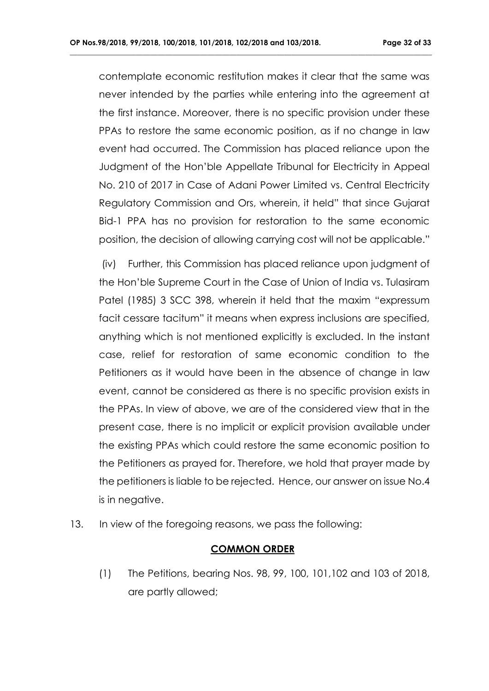contemplate economic restitution makes it clear that the same was never intended by the parties while entering into the agreement at the first instance. Moreover, there is no specific provision under these PPAs to restore the same economic position, as if no change in law event had occurred. The Commission has placed reliance upon the Judgment of the Hon'ble Appellate Tribunal for Electricity in Appeal No. 210 of 2017 in Case of Adani Power Limited vs. Central Electricity Regulatory Commission and Ors, wherein, it held" that since Gujarat Bid-1 PPA has no provision for restoration to the same economic position, the decision of allowing carrying cost will not be applicable."

**\_\_\_\_\_\_\_\_\_\_\_\_\_\_\_\_\_\_\_\_\_\_\_\_\_\_\_\_\_\_\_\_\_\_\_\_\_\_\_\_\_\_\_\_\_\_\_\_\_\_\_\_\_\_\_\_\_\_\_\_\_\_\_\_\_\_\_\_\_\_\_\_\_\_\_\_\_\_\_\_\_\_\_\_\_\_\_\_\_\_\_\_\_\_\_\_\_\_**

(iv) Further, this Commission has placed reliance upon judgment of the Hon'ble Supreme Court in the Case of Union of India vs. Tulasiram Patel (1985) 3 SCC 398, wherein it held that the maxim "expressum facit cessare tacitum" it means when express inclusions are specified, anything which is not mentioned explicitly is excluded. In the instant case, relief for restoration of same economic condition to the Petitioners as it would have been in the absence of change in law event, cannot be considered as there is no specific provision exists in the PPAs. In view of above, we are of the considered view that in the present case, there is no implicit or explicit provision available under the existing PPAs which could restore the same economic position to the Petitioners as prayed for. Therefore, we hold that prayer made by the petitioners is liable to be rejected. Hence, our answer on issue No.4 is in negative.

13. In view of the foregoing reasons, we pass the following:

### **COMMON ORDER**

(1) The Petitions, bearing Nos. 98, 99, 100, 101,102 and 103 of 2018, are partly allowed;